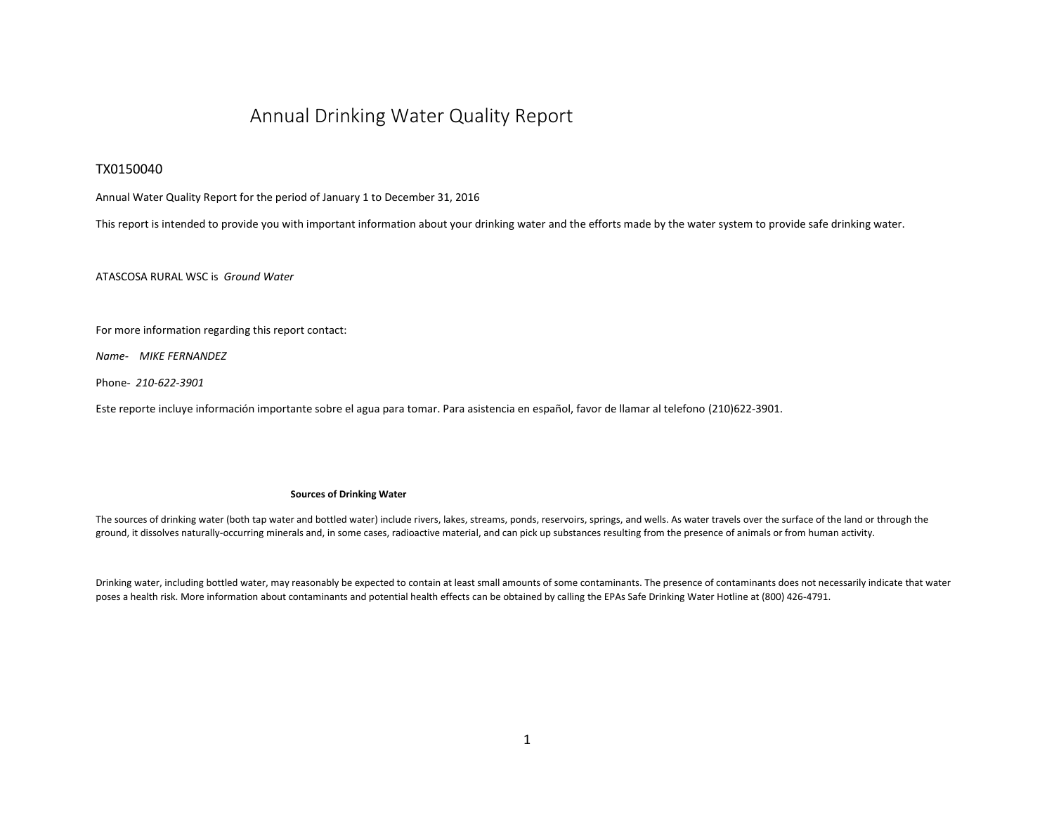# Annual Drinking Water Quality Report

### TX0150040

Annual Water Quality Report for the period of January 1 to December 31, 2016

This report is intended to provide you with important information about your drinking water and the efforts made by the water system to provide safe drinking water.

ATASCOSA RURAL WSC is *Ground Water*

For more information regarding this report contact:

*Name- MIKE FERNANDEZ* 

Phone- *210-622-3901*

Este reporte incluye información importante sobre el agua para tomar. Para asistencia en español, favor de llamar al telefono (210)622-3901.

#### **Sources of Drinking Water**

The sources of drinking water (both tap water and bottled water) include rivers, lakes, streams, ponds, reservoirs, springs, and wells. As water travels over the surface of the land or through the ground, it dissolves naturally-occurring minerals and, in some cases, radioactive material, and can pick up substances resulting from the presence of animals or from human activity.

Drinking water, including bottled water, may reasonably be expected to contain at least small amounts of some contaminants. The presence of contaminants does not necessarily indicate that water poses a health risk. More information about contaminants and potential health effects can be obtained by calling the EPAs Safe Drinking Water Hotline at (800) 426-4791.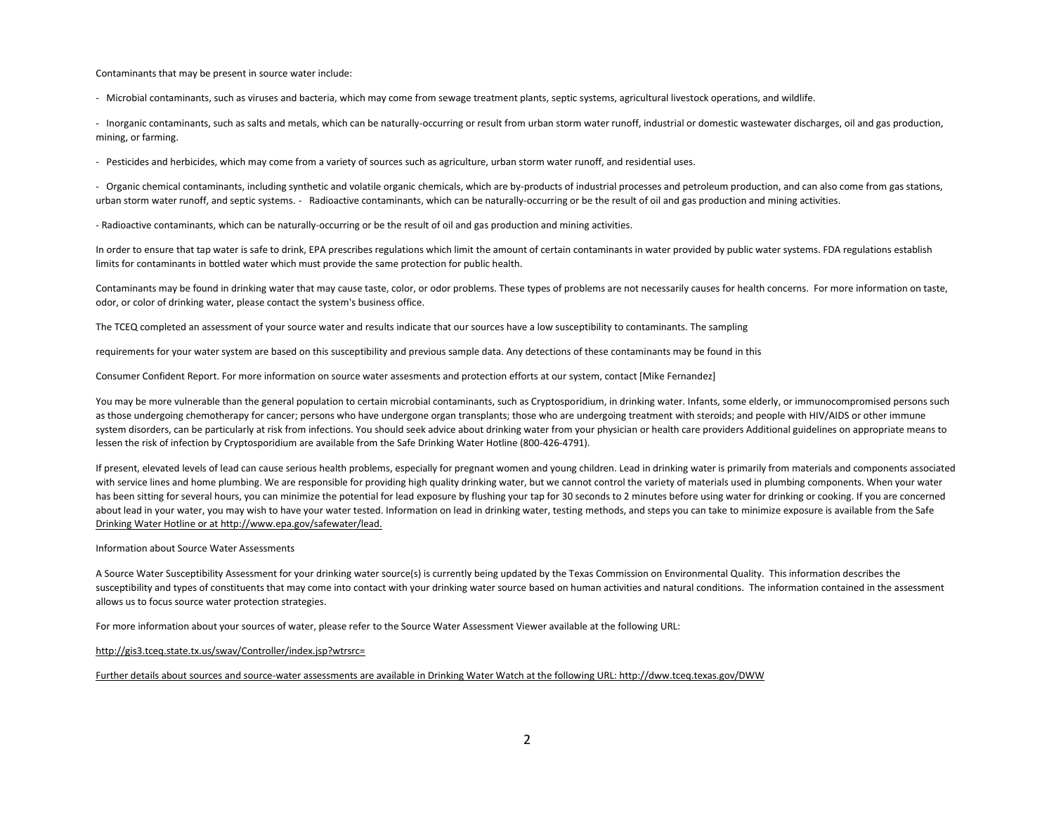Contaminants that may be present in source water include:

- Microbial contaminants, such as viruses and bacteria, which may come from sewage treatment plants, septic systems, agricultural livestock operations, and wildlife.

- Inorganic contaminants, such as salts and metals, which can be naturally-occurring or result from urban storm water runoff, industrial or domestic wastewater discharges, oil and gas production, mining, or farming.

- Pesticides and herbicides, which may come from a variety of sources such as agriculture, urban storm water runoff, and residential uses.

- Organic chemical contaminants, including synthetic and volatile organic chemicals, which are by-products of industrial processes and petroleum production, and can also come from gas stations, urban storm water runoff, and septic systems. - Radioactive contaminants, which can be naturally-occurring or be the result of oil and gas production and mining activities.

- Radioactive contaminants, which can be naturally-occurring or be the result of oil and gas production and mining activities.

In order to ensure that tap water is safe to drink, EPA prescribes regulations which limit the amount of certain contaminants in water provided by public water systems. FDA regulations establish limits for contaminants in bottled water which must provide the same protection for public health.

Contaminants may be found in drinking water that may cause taste, color, or odor problems. These types of problems are not necessarily causes for health concerns. For more information on taste, odor, or color of drinking water, please contact the system's business office.

The TCEQ completed an assessment of your source water and results indicate that our sources have a low susceptibility to contaminants. The sampling

requirements for your water system are based on this susceptibility and previous sample data. Any detections of these contaminants may be found in this

Consumer Confident Report. For more information on source water assesments and protection efforts at our system, contact [Mike Fernandez]

You may be more vulnerable than the general population to certain microbial contaminants, such as Cryptosporidium, in drinking water. Infants, some elderly, or immunocompromised persons such as those undergoing chemotherapy for cancer; persons who have undergone organ transplants; those who are undergoing treatment with steroids; and people with HIV/AIDS or other immune system disorders, can be particularly at risk from infections. You should seek advice about drinking water from your physician or health care providers Additional guidelines on appropriate means to lessen the risk of infection by Cryptosporidium are available from the Safe Drinking Water Hotline (800-426-4791).

If present, elevated levels of lead can cause serious health problems, especially for pregnant women and young children. Lead in drinking water is primarily from materials and components associated with service lines and home plumbing. We are responsible for providing high quality drinking water, but we cannot control the variety of materials used in plumbing components. When your water has been sitting for several hours, you can minimize the potential for lead exposure by flushing your tap for 30 seconds to 2 minutes before using water for drinking or cooking. If you are concerned about l[e](http://www.epa.gov/safewater/lead)ad in your water, you may wish to have your water tested. Information on lead in drinking water, testing methods, and steps you can take to minimize exposure is available from the Safe [Drinking Water Hotline or at http://www.epa.gov/safewater/lead.](http://www.epa.gov/safewater/lead)

Information about Source Water Assessments

A Source Water Susceptibility Assessment for your drinking water source(s) is currently being updated by the Texas Commission on Environmental Quality. This information describes the susceptibility and types of constituents that may come into contact with your drinking water source based on human activities and natural conditions. The information contained in the assessment allows us to focus source water protection strategies.

For more information about your sources of water, please refer to the Source Water Assessment Viewer available at the following URL:

[http://gis3.tceq.state.tx.us/swav/Controller/index.jsp?wtrsrc=](http://gis3.tceq.state.tx.us/swav/Controller/index.jsp?wtrsrc)

[Further details about sources and source-water assessments are available in Drinking Water Watch at the following URL: http://dww.tceq.texas.gov/DWW](http://dww.tceq.texas.gov/DWW)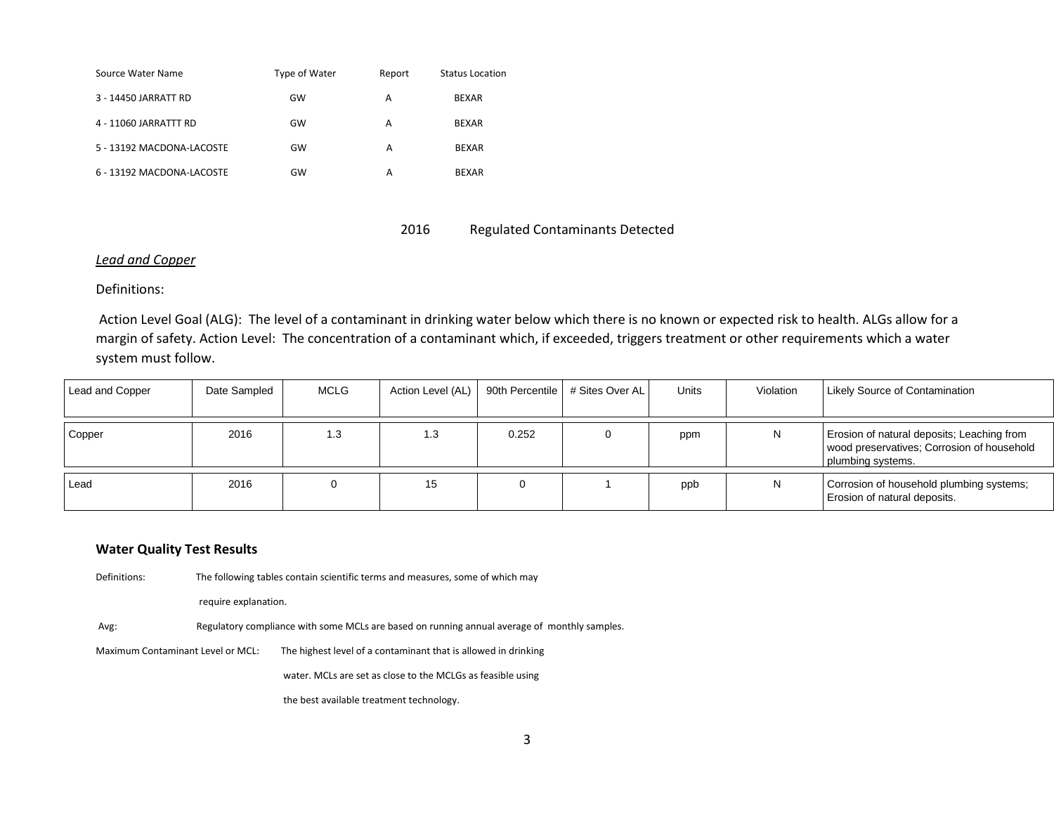| Source Water Name         | Type of Water | Report | Status Location |
|---------------------------|---------------|--------|-----------------|
| 3 - 14450 JARRATT RD      | GW            | А      | <b>BEXAR</b>    |
| 4 - 11060 JARRATTT RD     | GW            | А      | <b>BEXAR</b>    |
| 5 - 13192 MACDONA-LACOSTE | GW            | A      | <b>BEXAR</b>    |
| 6 - 13192 MACDONA-LACOSTE | GW            | А      | <b>BEXAR</b>    |

### 2016 Regulated Contaminants Detected

### *Lead and Copper*

Definitions:

Action Level Goal (ALG): The level of a contaminant in drinking water below which there is no known or expected risk to health. ALGs allow for a margin of safety. Action Level: The concentration of a contaminant which, if exceeded, triggers treatment or other requirements which a water system must follow.

| Lead and Copper | Date Sampled | <b>MCLG</b> | Action Level (AL) |       | 90th Percentile   # Sites Over AL | Units | Violation | <b>Likely Source of Contamination</b>                                                                         |
|-----------------|--------------|-------------|-------------------|-------|-----------------------------------|-------|-----------|---------------------------------------------------------------------------------------------------------------|
|                 |              |             |                   |       |                                   |       |           |                                                                                                               |
| Copper          | 2016         | 1.3         | 1.3               | 0.252 |                                   | ppm   | N         | Erosion of natural deposits; Leaching from<br>wood preservatives; Corrosion of household<br>plumbing systems. |
|                 |              |             |                   |       |                                   |       |           |                                                                                                               |
| Lead            | 2016         |             | 15                |       |                                   | ppb   |           | Corrosion of household plumbing systems;<br>Erosion of natural deposits.                                      |

### **Water Quality Test Results**

Definitions: The following tables contain scientific terms and measures, some of which may

require explanation.

Avg: Regulatory compliance with some MCLs are based on running annual average of monthly samples.

Maximum Contaminant Level or MCL: The highest level of a contaminant that is allowed in drinking

water. MCLs are set as close to the MCLGs as feasible using

the best available treatment technology.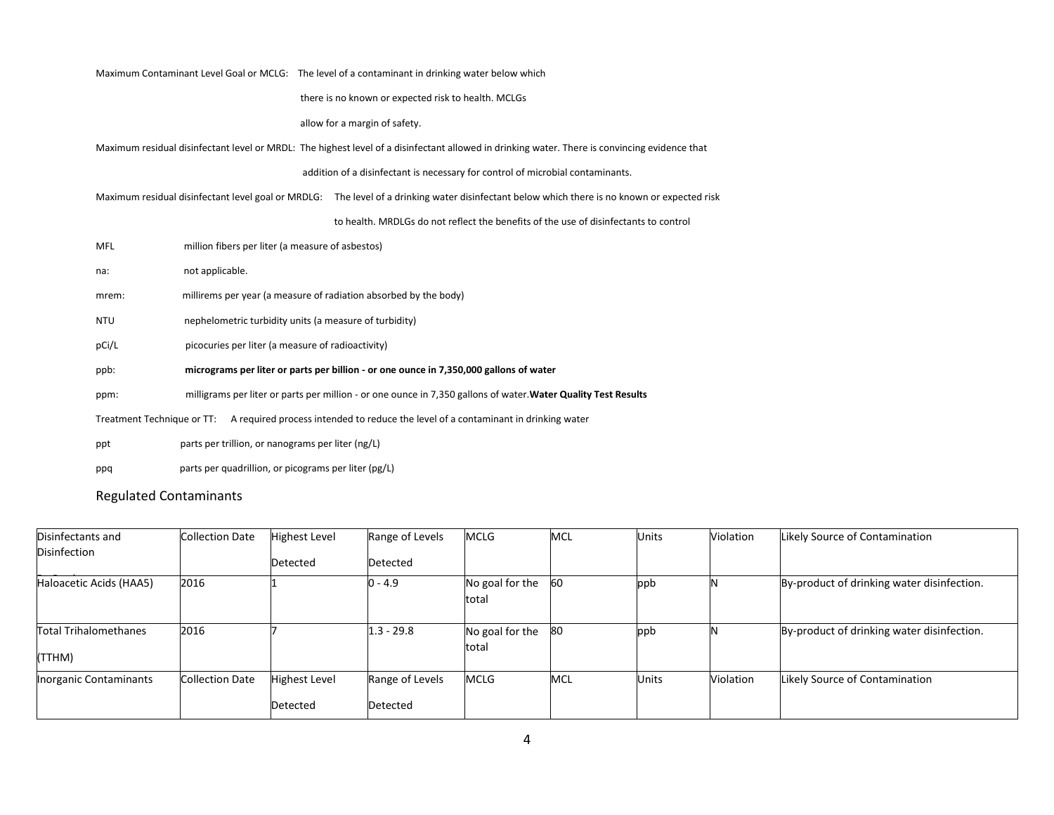|                            | Maximum Contaminant Level Goal or MCLG: The level of a contaminant in drinking water below which                                              |
|----------------------------|-----------------------------------------------------------------------------------------------------------------------------------------------|
|                            | there is no known or expected risk to health. MCLGs                                                                                           |
|                            | allow for a margin of safety.                                                                                                                 |
|                            | Maximum residual disinfectant level or MRDL: The highest level of a disinfectant allowed in drinking water. There is convincing evidence that |
|                            | addition of a disinfectant is necessary for control of microbial contaminants.                                                                |
|                            | Maximum residual disinfectant level goal or MRDLG: The level of a drinking water disinfectant below which there is no known or expected risk  |
|                            | to health. MRDLGs do not reflect the benefits of the use of disinfectants to control                                                          |
| <b>MFL</b>                 | million fibers per liter (a measure of asbestos)                                                                                              |
| not applicable.<br>na:     |                                                                                                                                               |
| mrem:                      | millirems per year (a measure of radiation absorbed by the body)                                                                              |
| <b>NTU</b>                 | nephelometric turbidity units (a measure of turbidity)                                                                                        |
| pCi/L                      | picocuries per liter (a measure of radioactivity)                                                                                             |
| ppb:                       | micrograms per liter or parts per billion - or one ounce in 7,350,000 gallons of water                                                        |
| ppm:                       | milligrams per liter or parts per million - or one ounce in 7,350 gallons of water. Water Quality Test Results                                |
| Treatment Technique or TT: | A required process intended to reduce the level of a contaminant in drinking water                                                            |
| ppt                        | parts per trillion, or nanograms per liter (ng/L)                                                                                             |
| ppq                        | parts per quadrillion, or picograms per liter (pg/L)                                                                                          |

## Regulated Contaminants

| Disinfectants and                      | <b>Collection Date</b> | <b>Highest Level</b>             | Range of Levels             | <b>MCLG</b>              | <b>MCL</b> | <b>Units</b> | Violation | Likely Source of Contamination             |
|----------------------------------------|------------------------|----------------------------------|-----------------------------|--------------------------|------------|--------------|-----------|--------------------------------------------|
| Disinfection                           |                        | Detected                         | Detected                    |                          |            |              |           |                                            |
| Haloacetic Acids (HAA5)                | 2016                   |                                  | $0 - 4.9$                   | No goal for the<br>total | 60         | ppb          |           | By-product of drinking water disinfection. |
| <b>Total Trihalomethanes</b><br>(TTHM) | 2016                   |                                  | $1.3 - 29.8$                | No goal for the<br>total | - 80       | ppb          |           | By-product of drinking water disinfection. |
| <b>Inorganic Contaminants</b>          | <b>Collection Date</b> | <b>Highest Level</b><br>Detected | Range of Levels<br>Detected | <b>MCLG</b>              | <b>MCL</b> | <b>Units</b> | Violation | Likely Source of Contamination             |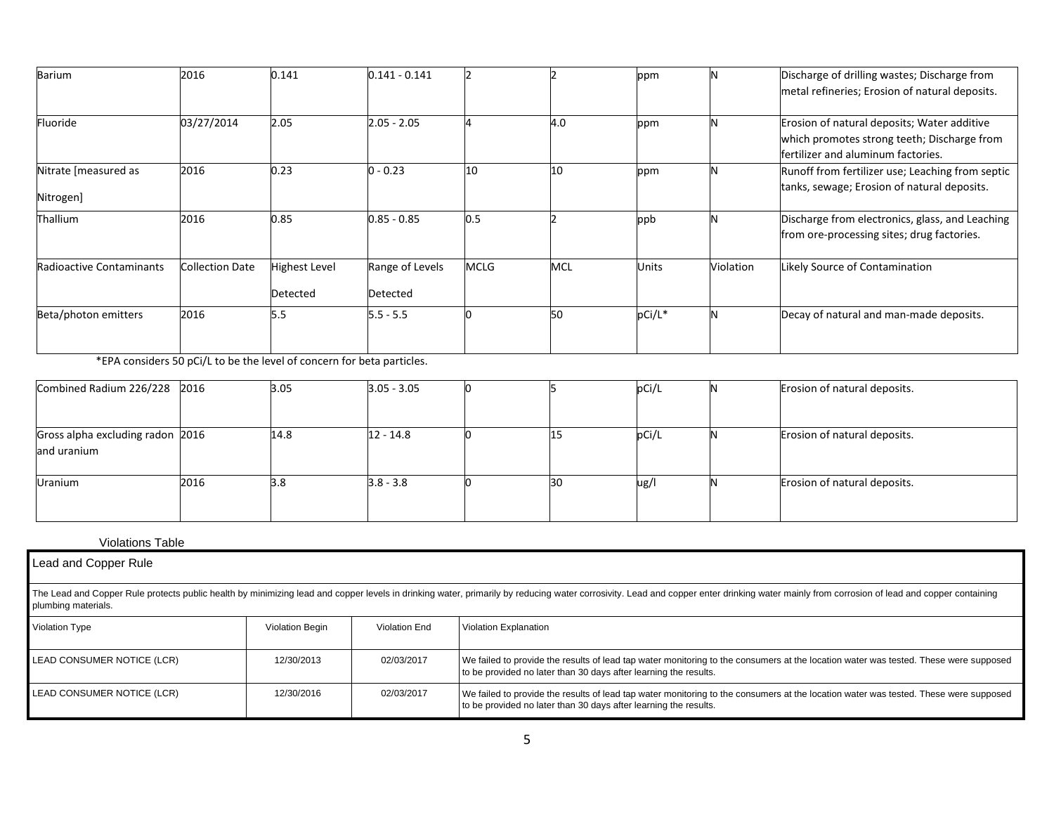| Barium                            | 2016                   | 0.141                            | $0.141 - 0.141$             |             |            | ppm          |           | Discharge of drilling wastes; Discharge from<br>metal refineries; Erosion of natural deposits.                                   |  |  |
|-----------------------------------|------------------------|----------------------------------|-----------------------------|-------------|------------|--------------|-----------|----------------------------------------------------------------------------------------------------------------------------------|--|--|
| Fluoride                          | 03/27/2014             | 2.05                             | $2.05 - 2.05$               |             | 4.0        | ppm          |           | Erosion of natural deposits; Water additive<br>which promotes strong teeth; Discharge from<br>fertilizer and aluminum factories. |  |  |
| Nitrate [measured as<br>Nitrogen] | 2016                   | 0.23                             | 0.23 (                      | 10          | 10         | ppm          |           | Runoff from fertilizer use; Leaching from septic<br>tanks, sewage; Erosion of natural deposits.                                  |  |  |
| <b>Thallium</b>                   | 2016                   | 0.85                             | $0.85 - 0.85$               | 0.5         |            | ppb          |           | Discharge from electronics, glass, and Leaching<br>from ore-processing sites; drug factories.                                    |  |  |
| <b>Radioactive Contaminants</b>   | <b>Collection Date</b> | <b>Highest Level</b><br>Detected | Range of Levels<br>Detected | <b>MCLG</b> | <b>MCL</b> | <b>Units</b> | Violation | Likely Source of Contamination                                                                                                   |  |  |
| Beta/photon emitters              | 2016                   | 5.5                              | $5.5 - 5.5$                 |             | 50         | pCi/L*       |           | Decay of natural and man-made deposits.                                                                                          |  |  |

\*EPA considers 50 pCi/L to be the level of concern for beta particles.

| Combined Radium 226/228 2016                    |      | 3.05 | $3.05 - 3.05$ |    | pCi/L | Erosion of natural deposits. |
|-------------------------------------------------|------|------|---------------|----|-------|------------------------------|
|                                                 |      |      |               |    |       |                              |
| Gross alpha excluding radon 2016<br>and uranium |      | 14.8 | 12 - 14.8     | 15 | pCi/L | Erosion of natural deposits. |
| Uranium                                         | 2016 | 3.8  | $3.8 - 3.8$   | 30 | ug/l  | Erosion of natural deposits. |

### Violations Table

| Lead and Copper Rule                                                                                                                                                                                                                                  |                 |               |                                                                                                                                                                                                          |  |  |  |  |  |
|-------------------------------------------------------------------------------------------------------------------------------------------------------------------------------------------------------------------------------------------------------|-----------------|---------------|----------------------------------------------------------------------------------------------------------------------------------------------------------------------------------------------------------|--|--|--|--|--|
| The Lead and Copper Rule protects public health by minimizing lead and copper levels in drinking water, primarily by reducing water corrosivity. Lead and copper enter drinking water mainly from corrosion of lead and copper<br>plumbing materials. |                 |               |                                                                                                                                                                                                          |  |  |  |  |  |
| Violation Type                                                                                                                                                                                                                                        | Violation Begin | Violation End | Violation Explanation                                                                                                                                                                                    |  |  |  |  |  |
| LEAD CONSUMER NOTICE (LCR)                                                                                                                                                                                                                            | 12/30/2013      | 02/03/2017    | We failed to provide the results of lead tap water monitoring to the consumers at the location water was tested. These were supposed<br>to be provided no later than 30 days after learning the results. |  |  |  |  |  |
| LEAD CONSUMER NOTICE (LCR)                                                                                                                                                                                                                            | 12/30/2016      | 02/03/2017    | We failed to provide the results of lead tap water monitoring to the consumers at the location water was tested. These were supposed<br>to be provided no later than 30 days after learning the results. |  |  |  |  |  |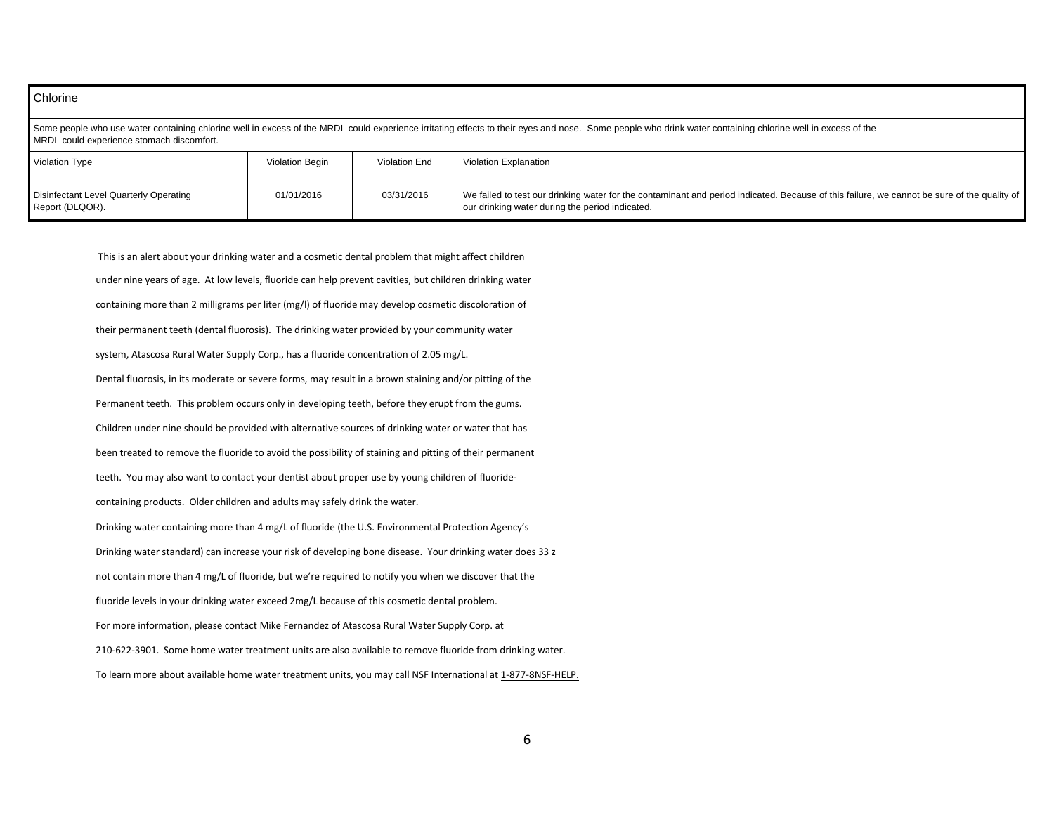### **Chlorine** Some people who use water containing chlorine well in excess of the MRDL could experience irritating effects to their eyes and nose. Some people who drink water containing chlorine well in excess of the MRDL could experience stomach discomfort. Violation Type Violation Begin Violation End Violation Explanation Disinfectant Level Quarterly Operating Report (DLQOR). 01/01/2016 03/31/2016 We failed to test our drinking water for the contaminant and period indicated. Because of this failure, we cannot be sure of the quality of our drinking water during the period indicated.

This is an alert about your drinking water and a cosmetic dental problem that might affect children under nine years of age. At low levels, fluoride can help prevent cavities, but children drinking water containing more than 2 milligrams per liter (mg/l) of fluoride may develop cosmetic discoloration of their permanent teeth (dental fluorosis). The drinking water provided by your community water system, Atascosa Rural Water Supply Corp., has a fluoride concentration of 2.05 mg/L. Dental fluorosis, in its moderate or severe forms, may result in a brown staining and/or pitting of the Permanent teeth. This problem occurs only in developing teeth, before they erupt from the gums. Children under nine should be provided with alternative sources of drinking water or water that has been treated to remove the fluoride to avoid the possibility of staining and pitting of their permanent teeth. You may also want to contact your dentist about proper use by young children of fluoridecontaining products. Older children and adults may safely drink the water. Drinking water containing more than 4 mg/L of fluoride (the U.S. Environmental Protection Agency's Drinking water standard) can increase your risk of developing bone disease. Your drinking water does 33 z not contain more than 4 mg/L of fluoride, but we're required to notify you when we discover that the fluoride levels in your drinking water exceed 2mg/L because of this cosmetic dental problem. For more information, please contact Mike Fernandez of Atascosa Rural Water Supply Corp. at 210-622-3901. Some home water treatment units are also available to remove fluoride from drinking water. To learn more about available home water treatment units, you may call NSF International at 1-877-8NSF-HELP.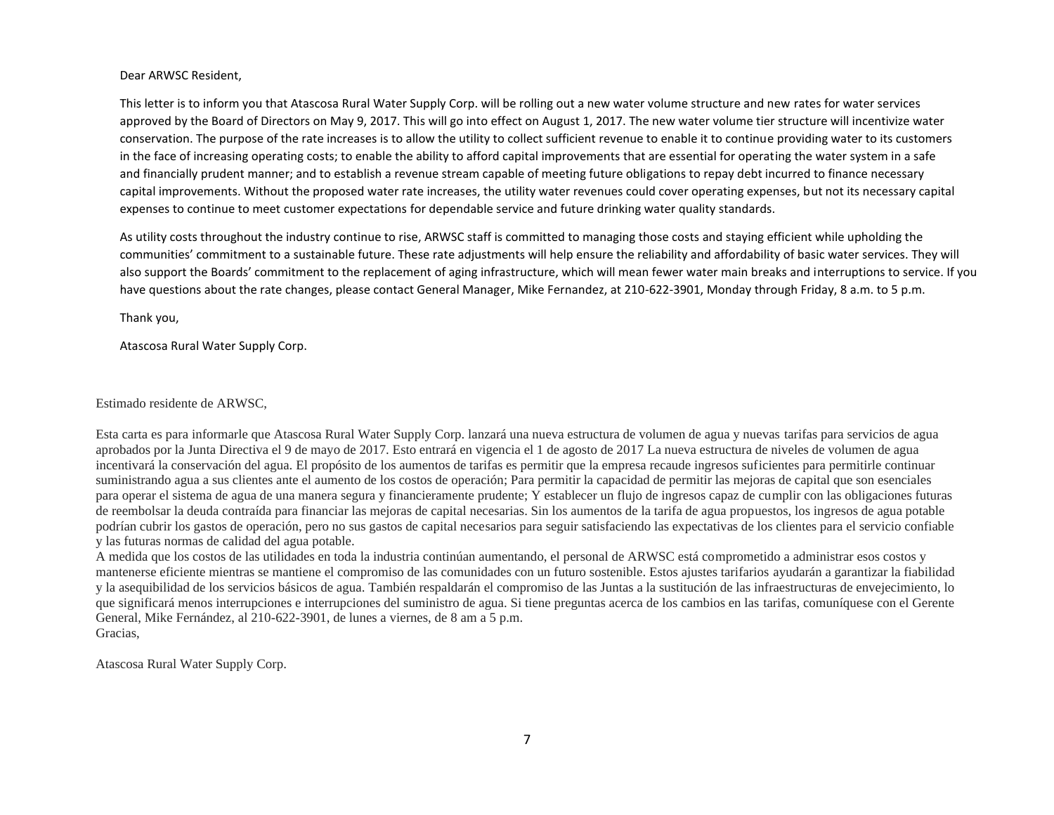### Dear ARWSC Resident,

This letter is to inform you that Atascosa Rural Water Supply Corp. will be rolling out a new water volume structure and new rates for water services approved by the Board of Directors on May 9, 2017. This will go into effect on August 1, 2017. The new water volume tier structure will incentivize water conservation. The purpose of the rate increases is to allow the utility to collect sufficient revenue to enable it to continue providing water to its customers in the face of increasing operating costs; to enable the ability to afford capital improvements that are essential for operating the water system in a safe and financially prudent manner; and to establish a revenue stream capable of meeting future obligations to repay debt incurred to finance necessary capital improvements. Without the proposed water rate increases, the utility water revenues could cover operating expenses, but not its necessary capital expenses to continue to meet customer expectations for dependable service and future drinking water quality standards.

As utility costs throughout the industry continue to rise, ARWSC staff is committed to managing those costs and staying efficient while upholding the communities' commitment to a sustainable future. These rate adjustments will help ensure the reliability and affordability of basic water services. They will also support the Boards' commitment to the replacement of aging infrastructure, which will mean fewer water main breaks and interruptions to service. If you have questions about the rate changes, please contact General Manager, Mike Fernandez, at 210-622-3901, Monday through Friday, 8 a.m. to 5 p.m.

Thank you,

Atascosa Rural Water Supply Corp.

### Estimado residente de ARWSC,

Esta carta es para informarle que Atascosa Rural Water Supply Corp. lanzará una nueva estructura de volumen de agua y nuevas tarifas para servicios de agua aprobados por la Junta Directiva el 9 de mayo de 2017. Esto entrará en vigencia el 1 de agosto de 2017 La nueva estructura de niveles de volumen de agua incentivará la conservación del agua. El propósito de los aumentos de tarifas es permitir que la empresa recaude ingresos suficientes para permitirle continuar suministrando agua a sus clientes ante el aumento de los costos de operación; Para permitir la capacidad de permitir las mejoras de capital que son esenciales para operar el sistema de agua de una manera segura y financieramente prudente; Y establecer un flujo de ingresos capaz de cumplir con las obligaciones futuras de reembolsar la deuda contraída para financiar las mejoras de capital necesarias. Sin los aumentos de la tarifa de agua propuestos, los ingresos de agua potable podrían cubrir los gastos de operación, pero no sus gastos de capital necesarios para seguir satisfaciendo las expectativas de los clientes para el servicio confiable y las futuras normas de calidad del agua potable.

A medida que los costos de las utilidades en toda la industria continúan aumentando, el personal de ARWSC está comprometido a administrar esos costos y mantenerse eficiente mientras se mantiene el compromiso de las comunidades con un futuro sostenible. Estos ajustes tarifarios ayudarán a garantizar la fiabilidad y la asequibilidad de los servicios básicos de agua. También respaldarán el compromiso de las Juntas a la sustitución de las infraestructuras de envejecimiento, lo que significará menos interrupciones e interrupciones del suministro de agua. Si tiene preguntas acerca de los cambios en las tarifas, comuníquese con el Gerente General, Mike Fernández, al 210-622-3901, de lunes a viernes, de 8 am a 5 p.m. Gracias,

Atascosa Rural Water Supply Corp.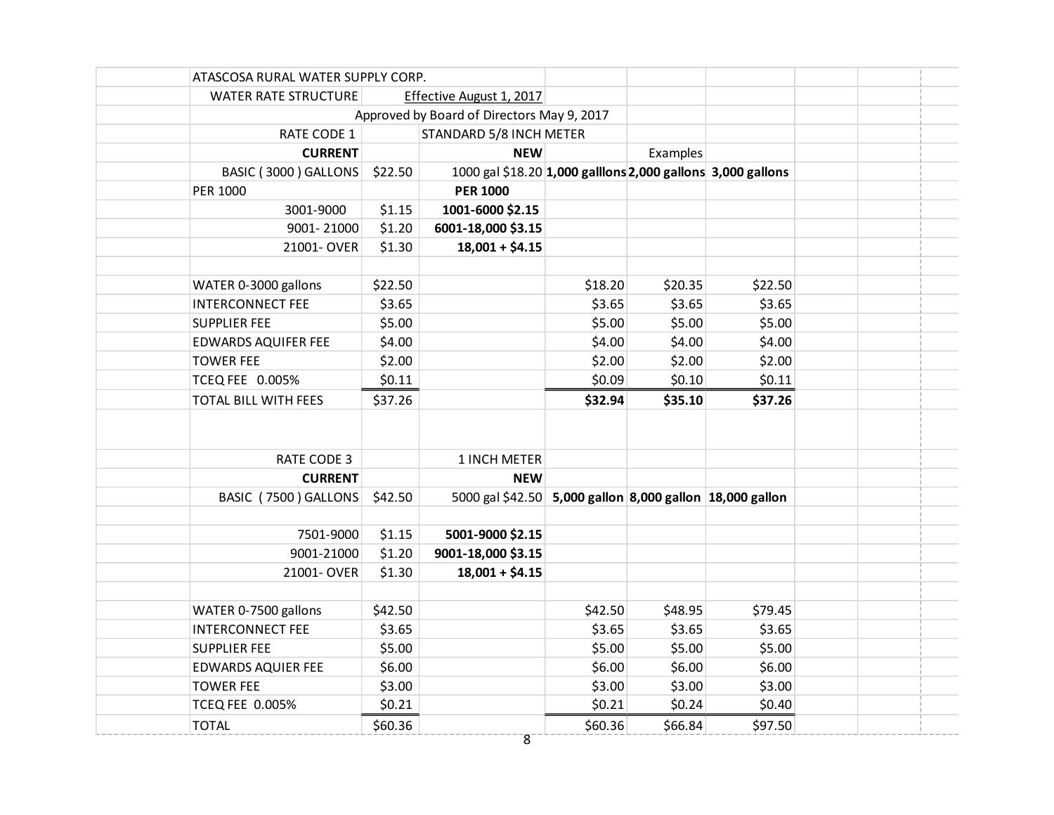| ATASCOSA RURAL WATER SUPPLY CORP. |         |                                                             |         |          |         |  |
|-----------------------------------|---------|-------------------------------------------------------------|---------|----------|---------|--|
| <b>WATER RATE STRUCTURE</b>       |         | Effective August 1, 2017                                    |         |          |         |  |
|                                   |         | Approved by Board of Directors May 9, 2017                  |         |          |         |  |
| RATE CODE 1                       |         | STANDARD 5/8 INCH METER                                     |         |          |         |  |
| <b>CURRENT</b>                    |         | <b>NEW</b>                                                  |         | Examples |         |  |
| BASIC (3000) GALLONS              | \$22.50 | 1000 gal \$18.20 1,000 galllons 2,000 gallons 3,000 gallons |         |          |         |  |
| PER 1000                          |         | <b>PER 1000</b>                                             |         |          |         |  |
| 3001-9000                         | \$1.15  | 1001-6000 \$2.15                                            |         |          |         |  |
| 9001-21000                        | \$1.20  | 6001-18,000 \$3.15                                          |         |          |         |  |
| 21001-OVER                        | \$1.30  | $18,001 + $4.15$                                            |         |          |         |  |
|                                   |         |                                                             |         |          |         |  |
| WATER 0-3000 gallons              | \$22.50 |                                                             | \$18.20 | \$20.35  | \$22.50 |  |
| <b>INTERCONNECT FEE</b>           | \$3.65  |                                                             | \$3.65  | \$3.65   | \$3.65  |  |
| <b>SUPPLIER FEE</b>               | \$5.00  |                                                             | \$5.00  | \$5.00   | \$5.00  |  |
| EDWARDS AQUIFER FEE               | \$4.00  |                                                             | \$4.00  | \$4.00   | \$4.00  |  |
| <b>TOWER FEE</b>                  | \$2.00  |                                                             | \$2.00  | \$2.00   | \$2.00  |  |
| TCEQ FEE 0.005%                   | \$0.11  |                                                             | \$0.09  | \$0.10   | \$0.11  |  |
| TOTAL BILL WITH FEES              | \$37.26 |                                                             | \$32.94 | \$35.10  | \$37.26 |  |
|                                   |         |                                                             |         |          |         |  |
| RATE CODE 3                       |         | 1 INCH METER                                                |         |          |         |  |
| <b>CURRENT</b>                    |         | <b>NEW</b>                                                  |         |          |         |  |
| BASIC (7500) GALLONS              | \$42.50 | 5000 gal \$42.50 5,000 gallon 8,000 gallon 18,000 gallon    |         |          |         |  |
|                                   |         |                                                             |         |          |         |  |
| 7501-9000                         | \$1.15  | 5001-9000 \$2.15                                            |         |          |         |  |
| 9001-21000                        | \$1.20  | 9001-18,000 \$3.15                                          |         |          |         |  |
| 21001-OVER                        | \$1.30  | $18,001 + $4.15$                                            |         |          |         |  |
|                                   |         |                                                             |         |          |         |  |
| WATER 0-7500 gallons              | \$42.50 |                                                             | \$42.50 | \$48.95  | \$79.45 |  |
| <b>INTERCONNECT FEE</b>           | \$3.65  |                                                             | \$3.65  | \$3.65   | \$3.65  |  |
| <b>SUPPLIER FEE</b>               | \$5.00  |                                                             | \$5.00  | \$5.00   | \$5.00  |  |
| <b>EDWARDS AQUIER FEE</b>         | \$6.00  |                                                             | \$6.00  | \$6.00   | \$6.00  |  |
| <b>TOWER FEE</b>                  | \$3.00  |                                                             | \$3.00  | \$3.00   | \$3.00  |  |
| <b>TCEQ FEE 0.005%</b>            | \$0.21  |                                                             | \$0.21  | \$0.24   | \$0.40  |  |
| <b>TOTAL</b>                      | \$60.36 |                                                             | \$60.36 | \$66.84  | \$97.50 |  |
|                                   |         | $\overline{8}$                                              |         |          |         |  |